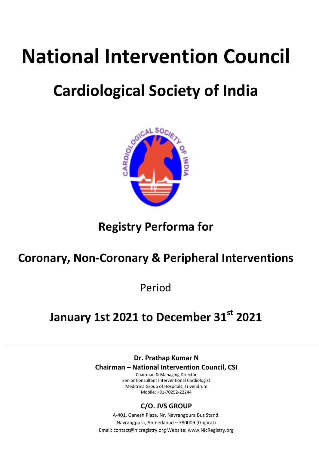# **National Intervention Council**

## **Cardiological Society of India**



## **Registry Performa for**

## **Coronary, Non-Coronary & Peripheral Interventions**

Period

## **January 1st 2021 to December 31st 2021**

**Dr. Prathap Kumar N Chairman – National Intervention Council, CSI**

Chairman & Managing Director Senior Consultant Interventional Cardiologist Meditrina Group of Hospitals, Trivendrum Mobile: +91-70252-22244

#### **C/O. JVS GROUP**

A-401, Ganesh Plaza, Nr. Navrangpura Bus Stand, Navrangpura, Ahmedabad – 380009 (Gujarat) Email: contact@nicregistry.org Website: www.NicRegistry.org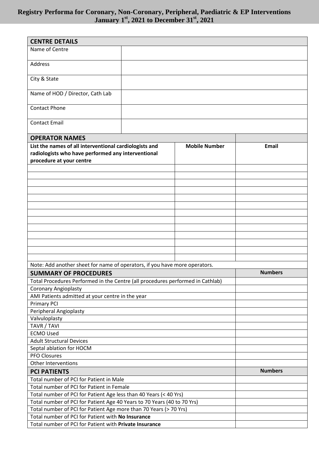| <b>CENTRE DETAILS</b>                                                          |  |                      |                |
|--------------------------------------------------------------------------------|--|----------------------|----------------|
| Name of Centre                                                                 |  |                      |                |
|                                                                                |  |                      |                |
| Address                                                                        |  |                      |                |
|                                                                                |  |                      |                |
| City & State                                                                   |  |                      |                |
|                                                                                |  |                      |                |
| Name of HOD / Director, Cath Lab                                               |  |                      |                |
|                                                                                |  |                      |                |
| <b>Contact Phone</b>                                                           |  |                      |                |
|                                                                                |  |                      |                |
| <b>Contact Email</b>                                                           |  |                      |                |
|                                                                                |  |                      |                |
| <b>OPERATOR NAMES</b>                                                          |  |                      |                |
| List the names of all interventional cardiologists and                         |  | <b>Mobile Number</b> | <b>Email</b>   |
| radiologists who have performed any interventional                             |  |                      |                |
| procedure at your centre                                                       |  |                      |                |
|                                                                                |  |                      |                |
|                                                                                |  |                      |                |
|                                                                                |  |                      |                |
|                                                                                |  |                      |                |
|                                                                                |  |                      |                |
|                                                                                |  |                      |                |
|                                                                                |  |                      |                |
|                                                                                |  |                      |                |
|                                                                                |  |                      |                |
|                                                                                |  |                      |                |
|                                                                                |  |                      |                |
|                                                                                |  |                      |                |
| Note: Add another sheet for name of operators, if you have more operators.     |  |                      |                |
|                                                                                |  |                      | <b>Numbers</b> |
| <b>SUMMARY OF PROCEDURES</b>                                                   |  |                      |                |
| Total Procedures Performed in the Centre (all procedures performed in Cathlab) |  |                      |                |
| <b>Coronary Angioplasty</b>                                                    |  |                      |                |
| AMI Patients admitted at your centre in the year                               |  |                      |                |
| <b>Primary PCI</b><br>Peripheral Angioplasty                                   |  |                      |                |
| Valvuloplasty                                                                  |  |                      |                |
| TAVR / TAVI                                                                    |  |                      |                |
| <b>ECMO Used</b>                                                               |  |                      |                |
| <b>Adult Structural Devices</b>                                                |  |                      |                |
| Septal ablation for HOCM                                                       |  |                      |                |
| <b>PFO Closures</b>                                                            |  |                      |                |
| Other Interventions                                                            |  |                      |                |
| <b>PCI PATIENTS</b>                                                            |  |                      | <b>Numbers</b> |
| Total number of PCI for Patient in Male                                        |  |                      |                |
| Total number of PCI for Patient in Female                                      |  |                      |                |
| Total number of PCI for Patient Age less than 40 Years (< 40 Yrs)              |  |                      |                |
| Total number of PCI for Patient Age 40 Years to 70 Years (40 to 70 Yrs)        |  |                      |                |
| Total number of PCI for Patient Age more than 70 Years (> 70 Yrs)              |  |                      |                |
| Total number of PCI for Patient with No Insurance                              |  |                      |                |
| Total number of PCI for Patient with Private Insurance                         |  |                      |                |
|                                                                                |  |                      |                |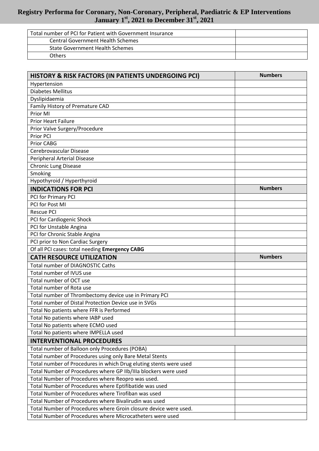| Total number of PCI for Patient with Government Insurance |  |
|-----------------------------------------------------------|--|
| <b>Central Government Health Schemes</b>                  |  |
| <b>State Government Health Schemes</b>                    |  |
| Others                                                    |  |

| HISTORY & RISK FACTORS (IN PATIENTS UNDERGOING PCI)               | <b>Numbers</b> |
|-------------------------------------------------------------------|----------------|
| Hypertension                                                      |                |
| <b>Diabetes Mellitus</b>                                          |                |
| Dyslipidaemia                                                     |                |
| Family History of Premature CAD                                   |                |
| Prior MI                                                          |                |
| <b>Prior Heart Failure</b>                                        |                |
| Prior Valve Surgery/Procedure                                     |                |
| Prior PCI                                                         |                |
| Prior CABG                                                        |                |
| Cerebrovascular Disease                                           |                |
| <b>Peripheral Arterial Disease</b>                                |                |
| <b>Chronic Lung Disease</b>                                       |                |
| Smoking                                                           |                |
| Hypothyroid / Hyperthyroid                                        |                |
| <b>INDICATIONS FOR PCI</b>                                        | <b>Numbers</b> |
| PCI for Primary PCI                                               |                |
| PCI for Post MI                                                   |                |
| <b>Rescue PCI</b>                                                 |                |
| PCI for Cardiogenic Shock                                         |                |
| PCI for Unstable Angina                                           |                |
| PCI for Chronic Stable Angina                                     |                |
| PCI prior to Non Cardiac Surgery                                  |                |
| Of all PCI cases: total needing Emergency CABG                    |                |
| <b>CATH RESOURCE UTILIZATION</b>                                  | <b>Numbers</b> |
| <b>Total number of DIAGNOSTIC Caths</b>                           |                |
| Total number of IVUS use                                          |                |
| Total number of OCT use                                           |                |
| Total number of Rota use                                          |                |
| Total number of Thrombectomy device use in Primary PCI            |                |
| Total number of Distal Protection Device use in SVGs              |                |
| Total No patients where FFR is Performed                          |                |
| Total No patients where IABP used                                 |                |
| Total No patients where ECMO used                                 |                |
| Total No patients where IMPELLA used                              |                |
| <b>INTERVENTIONAL PROCEDURES</b>                                  |                |
| Total number of Balloon only Procedures (POBA)                    |                |
| Total number of Procedures using only Bare Metal Stents           |                |
| Total number of Procedures in which Drug eluting stents were used |                |
| Total Number of Procedures where GP IIb/IIIa blockers were used   |                |
| Total Number of Procedures where Reopro was used.                 |                |
| Total Number of Procedures where Eptifibatide was used            |                |
| Total Number of Procedures where Tirofiban was used               |                |
| Total Number of Procedures where Bivalirudin was used             |                |
| Total Number of Procedures where Groin closure device were used.  |                |
| Total Number of Procedures where Microcatheters were used         |                |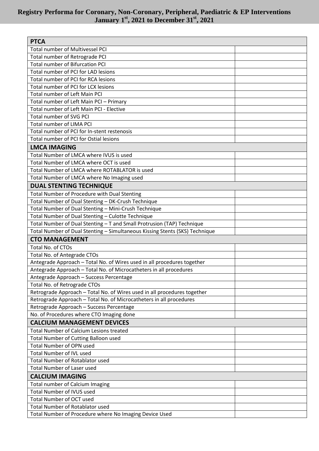| <b>PTCA</b>                                                                 |  |
|-----------------------------------------------------------------------------|--|
| <b>Total number of Multivessel PCI</b>                                      |  |
| Total number of Retrograde PCI                                              |  |
| <b>Total number of Bifurcation PCI</b>                                      |  |
| Total number of PCI for LAD lesions                                         |  |
| Total number of PCI for RCA lesions                                         |  |
| Total number of PCI for LCX lesions                                         |  |
| Total number of Left Main PCI                                               |  |
| Total number of Left Main PCI - Primary                                     |  |
| Total number of Left Main PCI - Elective                                    |  |
| Total number of SVG PCI                                                     |  |
| Total number of LIMA PCI                                                    |  |
| Total number of PCI for In-stent restenosis                                 |  |
| Total number of PCI for Ostial lesions                                      |  |
| <b>LMCA IMAGING</b>                                                         |  |
| Total Number of LMCA where IVUS is used                                     |  |
| Total Number of LMCA where OCT is used                                      |  |
| Total Number of LMCA where ROTABLATOR is used                               |  |
| Total Number of LMCA where No Imaging used                                  |  |
| <b>DUAL STENTING TECHNIQUE</b>                                              |  |
| Total Number of Procedure with Dual Stenting                                |  |
| Total Number of Dual Stenting - DK-Crush Technique                          |  |
| Total Number of Dual Stenting - Mini-Crush Technique                        |  |
| Total Number of Dual Stenting - Culotte Technique                           |  |
| Total Number of Dual Stenting - T and Small Protrusion (TAP) Technique      |  |
| Total Number of Dual Stenting - Simultaneous Kissing Stents (SKS) Technique |  |
| <b>CTO MANAGEMENT</b>                                                       |  |
| Total No. of CTOs                                                           |  |
| Total No. of Antegrade CTOs                                                 |  |
| Antegrade Approach - Total No. of Wires used in all procedures together     |  |
| Antegrade Approach - Total No. of Microcatheters in all procedures          |  |
| Antegrade Approach – Success Percentage                                     |  |
| Total No. of Retrograde CTOs                                                |  |
| Retrograde Approach - Total No. of Wires used in all procedures together    |  |
| Retrograde Approach - Total No. of Microcatheters in all procedures         |  |
| Retrograde Approach - Success Percentage                                    |  |
| No. of Procedures where CTO Imaging done                                    |  |
| <b>CALCIUM MANAGEMENT DEVICES</b>                                           |  |
| Total Number of Calcium Lesions treated                                     |  |
| <b>Total Number of Cutting Balloon used</b>                                 |  |
| <b>Total Number of OPN used</b>                                             |  |
| <b>Total Number of IVL used</b>                                             |  |
| <b>Total Number of Rotablator used</b>                                      |  |
| <b>Total Number of Laser used</b>                                           |  |
| <b>CALCIUM IMAGING</b>                                                      |  |
| Total number of Calcium Imaging                                             |  |
| <b>Total Number of IVUS used</b>                                            |  |
| <b>Total Number of OCT used</b>                                             |  |
| Total Number of Rotablator used                                             |  |
| Total Number of Procedure where No Imaging Device Used                      |  |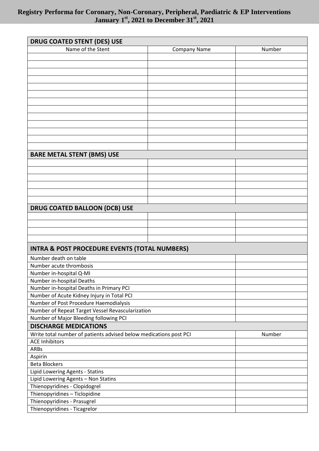| <b>DRUG COATED STENT (DES) USE</b>                                |                     |        |
|-------------------------------------------------------------------|---------------------|--------|
| Name of the Stent                                                 | <b>Company Name</b> | Number |
|                                                                   |                     |        |
|                                                                   |                     |        |
|                                                                   |                     |        |
|                                                                   |                     |        |
|                                                                   |                     |        |
|                                                                   |                     |        |
|                                                                   |                     |        |
|                                                                   |                     |        |
|                                                                   |                     |        |
|                                                                   |                     |        |
|                                                                   |                     |        |
|                                                                   |                     |        |
|                                                                   |                     |        |
| <b>BARE METAL STENT (BMS) USE</b>                                 |                     |        |
|                                                                   |                     |        |
|                                                                   |                     |        |
|                                                                   |                     |        |
|                                                                   |                     |        |
|                                                                   |                     |        |
|                                                                   |                     |        |
| <b>DRUG COATED BALLOON (DCB) USE</b>                              |                     |        |
|                                                                   |                     |        |
|                                                                   |                     |        |
|                                                                   |                     |        |
|                                                                   |                     |        |
| <b>INTRA &amp; POST PROCEDURE EVENTS (TOTAL NUMBERS)</b>          |                     |        |
| Number death on table                                             |                     |        |
| Number acute thrombosis                                           |                     |        |
| Number in-hospital Q-MI                                           |                     |        |
| Number in-hospital Deaths                                         |                     |        |
| Number in-hospital Deaths in Primary PCI                          |                     |        |
| Number of Acute Kidney Injury in Total PCI                        |                     |        |
| Number of Post Procedure Haemodialysis                            |                     |        |
| Number of Repeat Target Vessel Revascularization                  |                     |        |
| Number of Major Bleeding following PCI                            |                     |        |
| <b>DISCHARGE MEDICATIONS</b>                                      |                     |        |
| Write total number of patients advised below medications post PCI |                     | Number |
| <b>ACE Inhibitors</b>                                             |                     |        |
| ARBs                                                              |                     |        |
| Aspirin                                                           |                     |        |
| <b>Beta Blockers</b>                                              |                     |        |
| Lipid Lowering Agents - Statins                                   |                     |        |
| Lipid Lowering Agents - Non Statins                               |                     |        |
| Thienopyridines - Clopidogrel                                     |                     |        |
| Thienopyridines - Ticlopidine                                     |                     |        |
| Thienopyridines - Prasugrel                                       |                     |        |
| Thienopyridines - Ticagrelor                                      |                     |        |
|                                                                   |                     |        |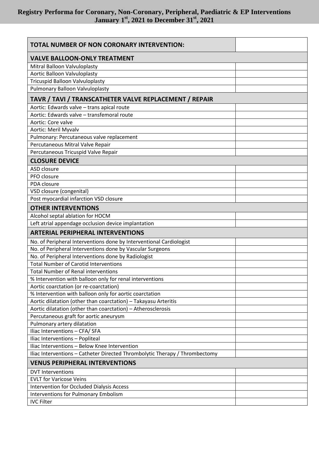| TOTAL NUMBER OF NON CORONARY INTERVENTION:                                  |  |
|-----------------------------------------------------------------------------|--|
| <b>VALVE BALLOON-ONLY TREATMENT</b>                                         |  |
| Mitral Balloon Valvuloplasty                                                |  |
| <b>Aortic Balloon Valvuloplasty</b>                                         |  |
| <b>Tricuspid Balloon Valvuloplasty</b>                                      |  |
| <b>Pulmonary Balloon Valvuloplasty</b>                                      |  |
| TAVR / TAVI / TRANSCATHETER VALVE REPLACEMENT / REPAIR                      |  |
| Aortic: Edwards valve - trans apical route                                  |  |
| Aortic: Edwards valve - transfemoral route                                  |  |
| Aortic: Core valve                                                          |  |
| Aortic: Meril Myvalv                                                        |  |
| Pulmonary: Percutaneous valve replacement                                   |  |
| Percutaneous Mitral Valve Repair                                            |  |
| Percutaneous Tricuspid Valve Repair                                         |  |
| <b>CLOSURE DEVICE</b>                                                       |  |
| ASD closure                                                                 |  |
| PFO closure                                                                 |  |
| PDA closure                                                                 |  |
| VSD closure (congenital)                                                    |  |
| Post myocardial infarction VSD closure                                      |  |
| <b>OTHER INTERVENTIONS</b>                                                  |  |
| Alcohol septal ablation for HOCM                                            |  |
| Left atrial appendage occlusion device implantation                         |  |
| <b>ARTERIAL PERIPHERAL INTERVENTIONS</b>                                    |  |
| No. of Peripheral Interventions done by Interventional Cardiologist         |  |
| No. of Peripheral Interventions done by Vascular Surgeons                   |  |
| No. of Peripheral Interventions done by Radiologist                         |  |
| <b>Total Number of Carotid Interventions</b>                                |  |
| <b>Total Number of Renal interventions</b>                                  |  |
| % Intervention with balloon only for renal interventions                    |  |
| Aortic coarctation (or re-coarctation)                                      |  |
| % Intervention with balloon only for aortic coarctation                     |  |
| Aortic dilatation (other than coarctation) - Takayasu Arteritis             |  |
| Aortic dilatation (other than coarctation) - Atherosclerosis                |  |
| Percutaneous graft for aortic aneurysm                                      |  |
| Pulmonary artery dilatation                                                 |  |
| Iliac Interventions - CFA/ SFA                                              |  |
| Iliac Interventions - Popliteal                                             |  |
| Iliac Interventions - Below Knee Intervention                               |  |
| Iliac Interventions - Catheter Directed Thrombolytic Therapy / Thrombectomy |  |
| <b>VENUS PERIPHERAL INTERVENTIONS</b>                                       |  |
| <b>DVT Interventions</b>                                                    |  |
| <b>EVLT for Varicose Veins</b>                                              |  |
| Intervention for Occluded Dialysis Access                                   |  |
| <b>Interventions for Pulmonary Embolism</b>                                 |  |
| <b>IVC Filter</b>                                                           |  |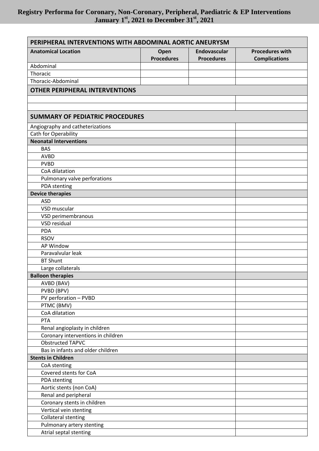| PERIPHERAL INTERVENTIONS WITH ABDOMINAL AORTIC ANEURYSM |                           |                                   |                                                |
|---------------------------------------------------------|---------------------------|-----------------------------------|------------------------------------------------|
| <b>Anatomical Location</b>                              | Open<br><b>Procedures</b> | Endovascular<br><b>Procedures</b> | <b>Procedures with</b><br><b>Complications</b> |
| Abdominal                                               |                           |                                   |                                                |
| Thoracic                                                |                           |                                   |                                                |
| Thoracic-Abdominal                                      |                           |                                   |                                                |
| <b>OTHER PERIPHERAL INTERVENTIONS</b>                   |                           |                                   |                                                |
|                                                         |                           |                                   |                                                |
|                                                         |                           |                                   |                                                |
| <b>SUMMARY OF PEDIATRIC PROCEDURES</b>                  |                           |                                   |                                                |
| Angiography and catheterizations                        |                           |                                   |                                                |
| Cath for Operability                                    |                           |                                   |                                                |
| <b>Neonatal Interventions</b>                           |                           |                                   |                                                |
| <b>BAS</b>                                              |                           |                                   |                                                |
| <b>AVBD</b>                                             |                           |                                   |                                                |
| <b>PVBD</b>                                             |                           |                                   |                                                |
| CoA dilatation                                          |                           |                                   |                                                |
| Pulmonary valve perforations                            |                           |                                   |                                                |
| PDA stenting                                            |                           |                                   |                                                |
| <b>Device therapies</b>                                 |                           |                                   |                                                |
| <b>ASD</b>                                              |                           |                                   |                                                |
| VSD muscular                                            |                           |                                   |                                                |
| VSD perimembranous                                      |                           |                                   |                                                |
| VSD residual                                            |                           |                                   |                                                |
| <b>PDA</b>                                              |                           |                                   |                                                |
| <b>RSOV</b>                                             |                           |                                   |                                                |
| <b>AP Window</b>                                        |                           |                                   |                                                |
| Paravalvular leak                                       |                           |                                   |                                                |
| <b>BT Shunt</b>                                         |                           |                                   |                                                |
| Large collaterals                                       |                           |                                   |                                                |
| <b>Balloon therapies</b>                                |                           |                                   |                                                |
| AVBD (BAV)                                              |                           |                                   |                                                |
| PVBD (BPV)                                              |                           |                                   |                                                |
| PV perforation - PVBD                                   |                           |                                   |                                                |
| PTMC (BMV)                                              |                           |                                   |                                                |
| CoA dilatation<br>PTA                                   |                           |                                   |                                                |
| Renal angioplasty in children                           |                           |                                   |                                                |
| Coronary interventions in children                      |                           |                                   |                                                |
| <b>Obstructed TAPVC</b>                                 |                           |                                   |                                                |
| Bas in infants and older children                       |                           |                                   |                                                |
| <b>Stents in Children</b>                               |                           |                                   |                                                |
| CoA stenting                                            |                           |                                   |                                                |
| Covered stents for CoA                                  |                           |                                   |                                                |
| PDA stenting                                            |                           |                                   |                                                |
| Aortic stents (non CoA)                                 |                           |                                   |                                                |
| Renal and peripheral                                    |                           |                                   |                                                |
| Coronary stents in children                             |                           |                                   |                                                |
| Vertical vein stenting                                  |                           |                                   |                                                |
| <b>Collateral stenting</b>                              |                           |                                   |                                                |
| Pulmonary artery stenting                               |                           |                                   |                                                |
| Atrial septal stenting                                  |                           |                                   |                                                |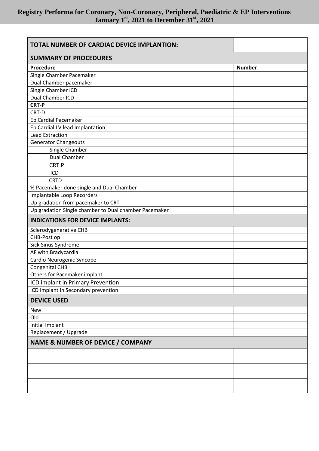| TOTAL NUMBER OF CARDIAC DEVICE IMPLANTION:            |               |  |
|-------------------------------------------------------|---------------|--|
| <b>SUMMARY OF PROCEDURES</b>                          |               |  |
| Procedure                                             | <b>Number</b> |  |
| Single Chamber Pacemaker                              |               |  |
| Dual Chamber pacemaker                                |               |  |
| Single Chamber ICD                                    |               |  |
| Dual Chamber ICD                                      |               |  |
| <b>CRT-P</b>                                          |               |  |
| CRT-D                                                 |               |  |
| <b>EpiCardial Pacemaker</b>                           |               |  |
| EpiCardial LV lead Implantation                       |               |  |
| <b>Lead Extraction</b>                                |               |  |
| <b>Generator Changeouts</b>                           |               |  |
| Single Chamber                                        |               |  |
| Dual Chamber                                          |               |  |
| <b>CRTP</b>                                           |               |  |
| ICD                                                   |               |  |
| <b>CRTD</b>                                           |               |  |
| % Pacemaker done single and Dual Chamber              |               |  |
| Implantable Loop Recorders                            |               |  |
| Up gradation from pacemaker to CRT                    |               |  |
| Up gradation Single chamber to Dual chamber Pacemaker |               |  |
| <b>INDICATIONS FOR DEVICE IMPLANTS:</b>               |               |  |
| Sclerodygenerative CHB                                |               |  |
| CHB-Post op                                           |               |  |
| Sick Sinus Syndrome                                   |               |  |
| AF with Bradycardia                                   |               |  |
| Cardio Neurogenic Syncope                             |               |  |
| Congenital CHB                                        |               |  |
| Others for Pacemaker implant                          |               |  |
| ICD implant in Primary Prevention                     |               |  |
| ICD Implant in Secondary prevention                   |               |  |
| <b>DEVICE USED</b>                                    |               |  |
| <b>New</b>                                            |               |  |
| Old                                                   |               |  |
| Initial Implant                                       |               |  |
| Replacement / Upgrade                                 |               |  |
|                                                       |               |  |
| <b>NAME &amp; NUMBER OF DEVICE / COMPANY</b>          |               |  |
|                                                       |               |  |
|                                                       |               |  |
|                                                       |               |  |
|                                                       |               |  |
|                                                       |               |  |
|                                                       |               |  |